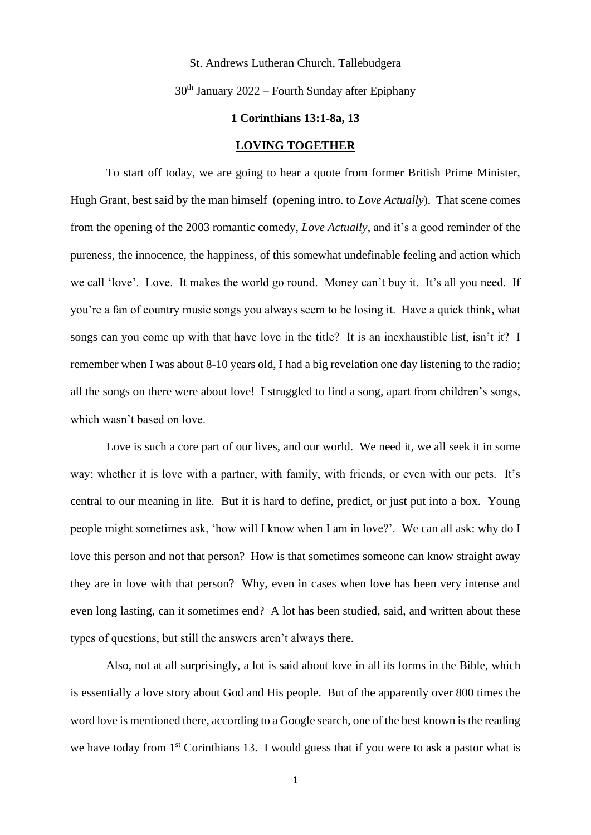### St. Andrews Lutheran Church, Tallebudgera

## $30<sup>th</sup>$  January 2022 – Fourth Sunday after Epiphany

### **1 Corinthians 13:1-8a, 13**

#### **LOVING TOGETHER**

To start off today, we are going to hear a quote from former British Prime Minister, Hugh Grant, best said by the man himself (opening intro. to *Love Actually*). That scene comes from the opening of the 2003 romantic comedy, *Love Actually*, and it's a good reminder of the pureness, the innocence, the happiness, of this somewhat undefinable feeling and action which we call 'love'. Love. It makes the world go round. Money can't buy it. It's all you need. If you're a fan of country music songs you always seem to be losing it. Have a quick think, what songs can you come up with that have love in the title? It is an inexhaustible list, isn't it? I remember when I was about 8-10 years old, I had a big revelation one day listening to the radio; all the songs on there were about love! I struggled to find a song, apart from children's songs, which wasn't based on love.

Love is such a core part of our lives, and our world. We need it, we all seek it in some way; whether it is love with a partner, with family, with friends, or even with our pets. It's central to our meaning in life. But it is hard to define, predict, or just put into a box. Young people might sometimes ask, 'how will I know when I am in love?'. We can all ask: why do I love this person and not that person? How is that sometimes someone can know straight away they are in love with that person? Why, even in cases when love has been very intense and even long lasting, can it sometimes end? A lot has been studied, said, and written about these types of questions, but still the answers aren't always there.

Also, not at all surprisingly, a lot is said about love in all its forms in the Bible, which is essentially a love story about God and His people. But of the apparently over 800 times the word love is mentioned there, according to a Google search, one of the best known is the reading we have today from  $1<sup>st</sup>$  Corinthians 13. I would guess that if you were to ask a pastor what is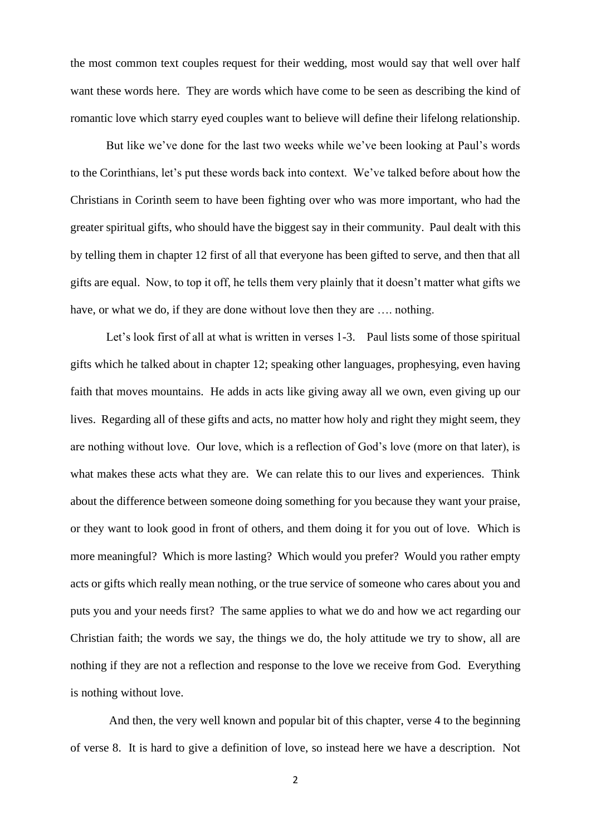the most common text couples request for their wedding, most would say that well over half want these words here. They are words which have come to be seen as describing the kind of romantic love which starry eyed couples want to believe will define their lifelong relationship.

But like we've done for the last two weeks while we've been looking at Paul's words to the Corinthians, let's put these words back into context. We've talked before about how the Christians in Corinth seem to have been fighting over who was more important, who had the greater spiritual gifts, who should have the biggest say in their community. Paul dealt with this by telling them in chapter 12 first of all that everyone has been gifted to serve, and then that all gifts are equal. Now, to top it off, he tells them very plainly that it doesn't matter what gifts we have, or what we do, if they are done without love then they are .... nothing.

Let's look first of all at what is written in verses 1-3. Paul lists some of those spiritual gifts which he talked about in chapter 12; speaking other languages, prophesying, even having faith that moves mountains. He adds in acts like giving away all we own, even giving up our lives. Regarding all of these gifts and acts, no matter how holy and right they might seem, they are nothing without love. Our love, which is a reflection of God's love (more on that later), is what makes these acts what they are. We can relate this to our lives and experiences. Think about the difference between someone doing something for you because they want your praise, or they want to look good in front of others, and them doing it for you out of love. Which is more meaningful? Which is more lasting? Which would you prefer? Would you rather empty acts or gifts which really mean nothing, or the true service of someone who cares about you and puts you and your needs first? The same applies to what we do and how we act regarding our Christian faith; the words we say, the things we do, the holy attitude we try to show, all are nothing if they are not a reflection and response to the love we receive from God. Everything is nothing without love.

And then, the very well known and popular bit of this chapter, verse 4 to the beginning of verse 8. It is hard to give a definition of love, so instead here we have a description. Not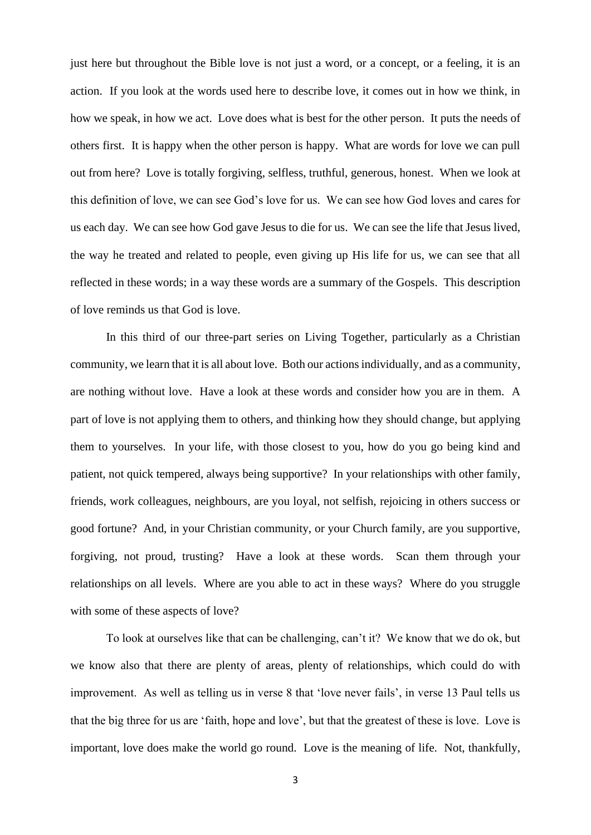just here but throughout the Bible love is not just a word, or a concept, or a feeling, it is an action. If you look at the words used here to describe love, it comes out in how we think, in how we speak, in how we act. Love does what is best for the other person. It puts the needs of others first. It is happy when the other person is happy. What are words for love we can pull out from here? Love is totally forgiving, selfless, truthful, generous, honest. When we look at this definition of love, we can see God's love for us. We can see how God loves and cares for us each day. We can see how God gave Jesus to die for us. We can see the life that Jesus lived, the way he treated and related to people, even giving up His life for us, we can see that all reflected in these words; in a way these words are a summary of the Gospels. This description of love reminds us that God is love.

In this third of our three-part series on Living Together, particularly as a Christian community, we learn that it is all about love. Both our actions individually, and as a community, are nothing without love. Have a look at these words and consider how you are in them. A part of love is not applying them to others, and thinking how they should change, but applying them to yourselves. In your life, with those closest to you, how do you go being kind and patient, not quick tempered, always being supportive? In your relationships with other family, friends, work colleagues, neighbours, are you loyal, not selfish, rejoicing in others success or good fortune? And, in your Christian community, or your Church family, are you supportive, forgiving, not proud, trusting? Have a look at these words. Scan them through your relationships on all levels. Where are you able to act in these ways? Where do you struggle with some of these aspects of love?

To look at ourselves like that can be challenging, can't it? We know that we do ok, but we know also that there are plenty of areas, plenty of relationships, which could do with improvement. As well as telling us in verse 8 that 'love never fails', in verse 13 Paul tells us that the big three for us are 'faith, hope and love', but that the greatest of these is love. Love is important, love does make the world go round. Love is the meaning of life. Not, thankfully,